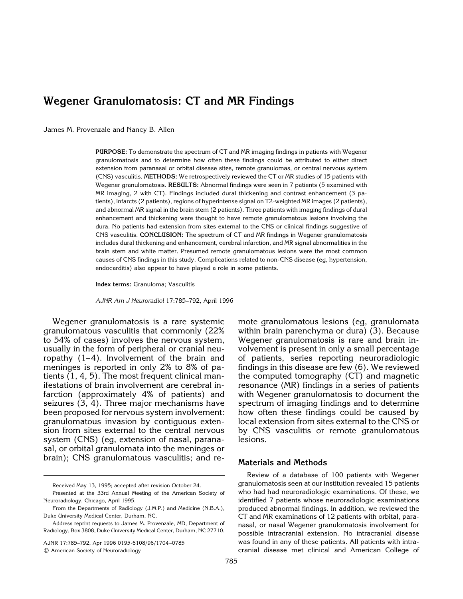# **Wegener Granulomatosis: CT and MR Findings**

James M. Provenzale and Nancy B. Allen

**PURPOSE:** To demonstrate the spectrum of CT and MR imaging findings in patients with Wegener granulomatosis and to determine how often these findings could be attributed to either direct extension from paranasal or orbital disease sites, remote granulomas, or central nervous system (CNS) vasculitis. **METHODS:** We retrospectively reviewed the CT or MR studies of 15 patients with Wegener granulomatosis. **RESULTS:** Abnormal findings were seen in 7 patients (5 examined with MR imaging, 2 with CT). Findings included dural thickening and contrast enhancement (3 patients), infarcts (2 patients), regions of hyperintense signal on T2-weighted MR images (2 patients), and abnormal MR signal in the brain stem (2 patients). Three patients with imaging findings of dural enhancement and thickening were thought to have remote granulomatous lesions involving the dura. No patients had extension from sites external to the CNS or clinical findings suggestive of CNS vasculitis. **CONCLUSION:** The spectrum of CT and MR findings in Wegener granulomatosis includes dural thickening and enhancement, cerebral infarction, and MR signal abnormalities in the brain stem and white matter. Presumed remote granulomatous lesions were the most common causes of CNS findings in this study. Complications related to non-CNS disease (eg, hypertension, endocarditis) also appear to have played a role in some patients.

**Index terms:** Granuloma; Vasculitis

*AJNR Am J Neuroradiol* 17:785–792, April 1996

Wegener granulomatosis is a rare systemic granulomatous vasculitis that commonly (22% to 54% of cases) involves the nervous system, usually in the form of peripheral or cranial neuropathy  $(1-4)$ . Involvement of the brain and meninges is reported in only 2% to 8% of patients (1, 4, 5). The most frequent clinical manifestations of brain involvement are cerebral infarction (approximately 4% of patients) and seizures (3, 4). Three major mechanisms have been proposed for nervous system involvement: granulomatous invasion by contiguous extension from sites external to the central nervous system (CNS) (eg, extension of nasal, paranasal, or orbital granulomata into the meninges or brain); CNS granulomatous vasculitis; and re-

Presented at the 33rd Annual Meeting of the American Society of Neuroradiology, Chicago, April 1995.

AJNR 17:785–792, Apr 1996 0195-6108/96/1704 –0785

q American Society of Neuroradiology

mote granulomatous lesions (eg, granulomata within brain parenchyma or dura) (3). Because Wegener granulomatosis is rare and brain involvement is present in only a small percentage of patients, series reporting neuroradiologic findings in this disease are few (6). We reviewed the computed tomography (CT) and magnetic resonance (MR) findings in a series of patients with Wegener granulomatosis to document the spectrum of imaging findings and to determine how often these findings could be caused by local extension from sites external to the CNS or by CNS vasculitis or remote granulomatous lesions.

#### **Materials and Methods**

Review of a database of 100 patients with Wegener granulomatosis seen at our institution revealed 15 patients who had had neuroradiologic examinations. Of these, we identified 7 patients whose neuroradiologic examinations produced abnormal findings. In addition, we reviewed the CT and MR examinations of 12 patients with orbital, paranasal, or nasal Wegener granulomatosis involvement for possible intracranial extension. No intracranial disease was found in any of these patients. All patients with intracranial disease met clinical and American College of

Received May 13, 1995; accepted after revision October 24.

From the Departments of Radiology (J.M.P.) and Medicine (N.B.A.), Duke University Medical Center, Durham, NC.

Address reprint requests to James M. Provenzale, MD, Department of Radiology, Box 3808, Duke University Medical Center, Durham, NC 27710.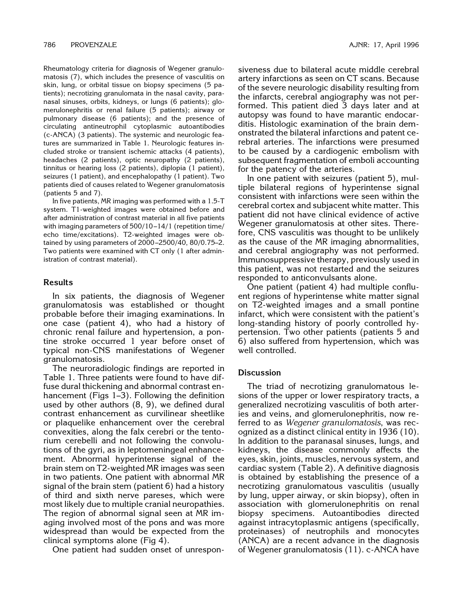Rheumatology criteria for diagnosis of Wegener granulomatosis (7), which includes the presence of vasculitis on skin, lung, or orbital tissue on biopsy specimens (5 patients); necrotizing granulomata in the nasal cavity, paranasal sinuses, orbits, kidneys, or lungs (6 patients); glomerulonephritis or renal failure (5 patients); airway or pulmonary disease (6 patients); and the presence of circulating antineutrophil cytoplasmic autoantibodies (c-ANCA) (3 patients). The systemic and neurologic features are summarized in Table 1. Neurologic features included stroke or transient ischemic attacks (4 patients), headaches (2 patients), optic neuropathy (2 patients), tinnitus or hearing loss (2 patients), diplopia (1 patient), seizures (1 patient), and encephalopathy (1 patient). Two patients died of causes related to Wegener granulomatosis (patients 5 and 7).

In five patients, MR imaging was performed with a 1.5-T system. T1-weighted images were obtained before and after administration of contrast material in all five patients with imaging parameters of 500/10 –14/1 (repetition time/ echo time/excitations). T2-weighted images were obtained by using parameters of 2000 –2500/40, 80/0.75–2. Two patients were examined with CT only (1 after administration of contrast material).

### **Results**

In six patients, the diagnosis of Wegener granulomatosis was established or thought probable before their imaging examinations. In one case (patient 4), who had a history of chronic renal failure and hypertension, a pontine stroke occurred 1 year before onset of typical non-CNS manifestations of Wegener granulomatosis.

The neuroradiologic findings are reported in Table 1. Three patients were found to have diffuse dural thickening and abnormal contrast enhancement (Figs 1–3). Following the definition used by other authors (8, 9), we defined dural contrast enhancement as curvilinear sheetlike or plaquelike enhancement over the cerebral convexities, along the falx cerebri or the tentorium cerebelli and not following the convolutions of the gyri, as in leptomeningeal enhancement. Abnormal hyperintense signal of the brain stem on T2-weighted MR images was seen in two patients. One patient with abnormal MR signal of the brain stem (patient 6) had a history of third and sixth nerve pareses, which were most likely due to multiple cranial neuropathies. The region of abnormal signal seen at MR imaging involved most of the pons and was more widespread than would be expected from the clinical symptoms alone (Fig 4).

One patient had sudden onset of unrespon-

siveness due to bilateral acute middle cerebral artery infarctions as seen on CT scans. Because of the severe neurologic disability resulting from the infarcts, cerebral angiography was not performed. This patient died 3 days later and at autopsy was found to have marantic endocarditis. Histologic examination of the brain demonstrated the bilateral infarctions and patent cerebral arteries. The infarctions were presumed to be caused by a cardiogenic embolism with subsequent fragmentation of emboli accounting for the patency of the arteries.

In one patient with seizures (patient 5), multiple bilateral regions of hyperintense signal consistent with infarctions were seen within the cerebral cortex and subjacent white matter. This patient did not have clinical evidence of active Wegener granulomatosis at other sites. Therefore, CNS vasculitis was thought to be unlikely as the cause of the MR imaging abnormalities, and cerebral angiography was not performed. Immunosuppressive therapy, previously used in this patient, was not restarted and the seizures responded to anticonvulsants alone.

One patient (patient 4) had multiple confluent regions of hyperintense white matter signal on T2-weighted images and a small pontine infarct, which were consistent with the patient's long-standing history of poorly controlled hypertension. Two other patients (patients 5 and 6) also suffered from hypertension, which was well controlled.

#### **Discussion**

The triad of necrotizing granulomatous lesions of the upper or lower respiratory tracts, a generalized necrotizing vasculitis of both arteries and veins, and glomerulonephritis, now referred to as *Wegener granulomatosis*, was recognized as a distinct clinical entity in 1936 (10). In addition to the paranasal sinuses, lungs, and kidneys, the disease commonly affects the eyes, skin, joints, muscles, nervous system, and cardiac system (Table 2). A definitive diagnosis is obtained by establishing the presence of a necrotizing granulomatous vasculitis (usually by lung, upper airway, or skin biopsy), often in association with glomerulonephritis on renal biopsy specimens. Autoantibodies directed against intracytoplasmic antigens (specifically, proteinases) of neutrophils and monocytes (ANCA) are a recent advance in the diagnosis of Wegener granulomatosis (11). c-ANCA have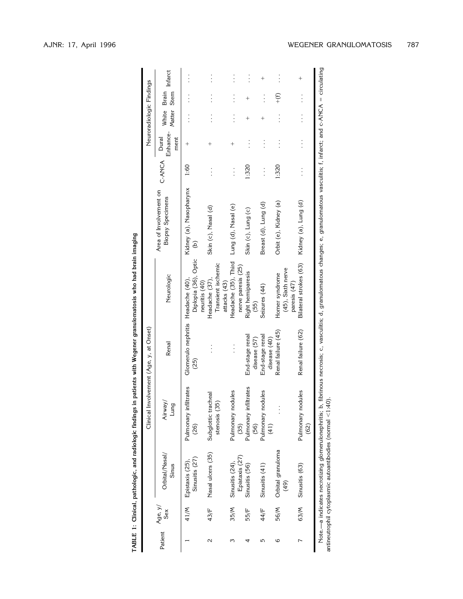| Į                |
|------------------|
|                  |
|                  |
|                  |
|                  |
|                  |
|                  |
|                  |
|                  |
|                  |
|                  |
|                  |
|                  |
| $\vdots$         |
| i                |
|                  |
|                  |
|                  |
|                  |
|                  |
|                  |
|                  |
|                  |
|                  |
|                  |
|                  |
|                  |
| -<br>-<br>-<br>- |
|                  |
|                  |
|                  |
|                  |
|                  |
| i                |
| .<br>;           |
|                  |
|                  |
| TARIF            |
|                  |

| Neuroradiologic Findings                | Infarct                                           | $\vdots$                                   | $\vdots$                                             | $\vdots$                                   | $\vdots$                        | $\ddag$                         | $\vdots$                                             | $\ddag$                        |
|-----------------------------------------|---------------------------------------------------|--------------------------------------------|------------------------------------------------------|--------------------------------------------|---------------------------------|---------------------------------|------------------------------------------------------|--------------------------------|
|                                         |                                                   |                                            |                                                      |                                            |                                 |                                 | $^{+(f)}$                                            |                                |
|                                         | White Brain<br>Matter Stem                        |                                            |                                                      |                                            |                                 | $\overline{+}$                  |                                                      |                                |
|                                         | Enhance-<br>Dural<br>ment                         | $^{+}$                                     |                                                      | $^{+}$                                     |                                 |                                 |                                                      |                                |
|                                         | C-ANCA                                            | 1.60                                       |                                                      | $\vdots$                                   | 1:320                           | $\vdots$                        | 1:320                                                |                                |
| Clinical Involvement (Age, y, at Onset) | Area of Involvement on<br><b>Biopsy Specimens</b> | Kidney (a), Nasopharynx<br>$\widehat{e}$   | Skin (c), Nasal (d)                                  | Lung (d), Nasal (e)                        | Skin (c), Lung (c)              | Breast (d), Lung (d)            | Orbit (e), Kidney (a)                                | Kidney (a), Lung (d)           |
|                                         | Neurologic                                        | Diplopia (36), Optic<br>neuritis (40)      | Transient ischemic<br>Headache (37),<br>attacks (43) | Headache (35), Third<br>nerve paresis (25) | Right hemiparesis<br>(55)       | Seizures (44)                   | (45), Sixth nerve<br>Horner syndrome<br>paresis (47) | Bilateral strokes (63)         |
|                                         | Renal                                             | Glomerulo nephritis Headache (40),<br>(25) |                                                      |                                            | End-stage renal<br>disease (57) | End-stage renal<br>disease (40) | Renal failure (45)                                   | Renal failure (62)             |
|                                         | Airway/<br>Burr                                   | Pulmonary infiltrates<br>(26)              | Subglottic tracheal<br>stenosis (35)                 | Pulmonary nodules<br>(35)                  | Pulmonary infiltrates<br>(56)   | salubo<br>Pulmonary no<br>(41)  |                                                      | salubo<br>Pulmonary no<br>(62) |
|                                         | Orbital/Nasal/<br>Sinus                           | Sinusitis (27)<br>Epistaxis (25),          | Nasal ulcers (35)                                    | Epistaxis (27)<br>Sinusitis (24),          | Sinusitis (56)                  | Sinusitis (41)                  | Orbital granuloma<br>(49)                            | Sinusitis (63)                 |
|                                         | Sex                                               | 41/M                                       | 43/F                                                 | 35/M                                       | 55/F                            | 44/F                            | 56/M                                                 | 63/M                           |
| Patient $Age, y/$                       |                                                   |                                            | $\mathbf{\Omega}$                                    | ω                                          |                                 | 5                               | ဖ                                                    |                                |

Note.—a indicates necrotizing glomerulonephritis; b, fibrinous necrosis; c, vasculitis; d, granulomatous changes; e, granulomatous vasculitis; f, infarct; and c-ANCA 5 circulating antineutrophil cytoplasmic autoantibodies (normal Note.—a indicates necrotizing glomerulonephritis; b, fibrinous necrosis; c, vasculitis; d, granulomatous changes; e, granulomatous vasculitis; f, infarct; and c-ANCA = circulating<br>antineutrophil cytoplasmic autoantibodies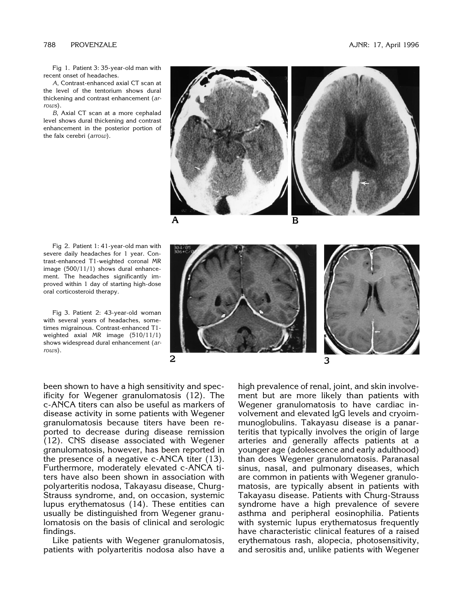Fig 1. Patient 3: 35-year-old man with recent onset of headaches.

*A*, Contrast-enhanced axial CT scan at the level of the tentorium shows dural thickening and contrast enhancement (*arrows*).

*B*, Axial CT scan at a more cephalad level shows dural thickening and contrast enhancement in the posterior portion of the falx cerebri (*arrow*).



Fig 2. Patient 1: 41-year-old man with severe daily headaches for 1 year. Contrast-enhanced T1-weighted coronal MR image (500/11/1) shows dural enhancement. The headaches significantly improved within 1 day of starting high-dose oral corticosteroid therapy.

Fig 3. Patient 2: 43-year-old woman with several years of headaches, sometimes migrainous. Contrast-enhanced T1 weighted axial MR image (510/11/1) shows widespread dural enhancement (*arrows*).



been shown to have a high sensitivity and specificity for Wegener granulomatosis (12). The c-ANCA titers can also be useful as markers of disease activity in some patients with Wegener granulomatosis because titers have been reported to decrease during disease remission (12). CNS disease associated with Wegener granulomatosis, however, has been reported in the presence of a negative c-ANCA titer (13). Furthermore, moderately elevated c-ANCA titers have also been shown in association with polyarteritis nodosa, Takayasu disease, Churg-Strauss syndrome, and, on occasion, systemic lupus erythematosus (14). These entities can usually be distinguished from Wegener granulomatosis on the basis of clinical and serologic findings.

Like patients with Wegener granulomatosis, patients with polyarteritis nodosa also have a high prevalence of renal, joint, and skin involvement but are more likely than patients with Wegener granulomatosis to have cardiac involvement and elevated IgG levels and cryoimmunoglobulins. Takayasu disease is a panarteritis that typically involves the origin of large arteries and generally affects patients at a younger age (adolescence and early adulthood) than does Wegener granulomatosis. Paranasal sinus, nasal, and pulmonary diseases, which are common in patients with Wegener granulomatosis, are typically absent in patients with Takayasu disease. Patients with Churg-Strauss syndrome have a high prevalence of severe asthma and peripheral eosinophilia. Patients with systemic lupus erythematosus frequently have characteristic clinical features of a raised erythematous rash, alopecia, photosensitivity, and serositis and, unlike patients with Wegener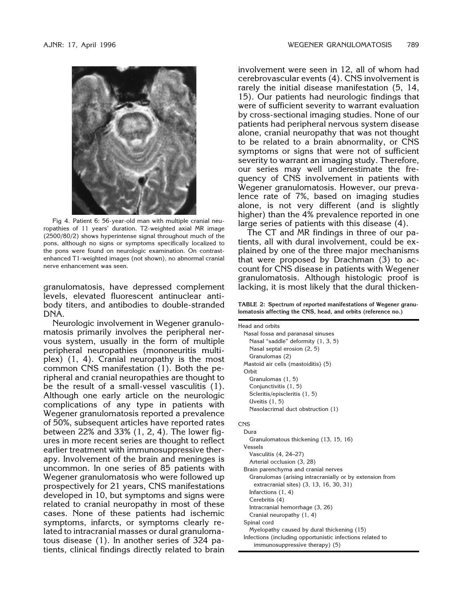

Fig 4. Patient 6: 56-year-old man with multiple cranial neuropathies of 11 years' duration. T2-weighted axial MR image (2500/80/2) shows hyperintense signal throughout much of the pons, although no signs or symptoms specifically localized to the pons were found on neurologic examination. On contrastenhanced T1-weighted images (not shown), no abnormal cranial nerve enhancement was seen.

granulomatosis, have depressed complement levels, elevated fluorescent antinuclear antibody titers, and antibodies to double-stranded DNA.

Neurologic involvement in Wegener granulomatosis primarily involves the peripheral nervous system, usually in the form of multiple peripheral neuropathies (mononeuritis multiplex) (1, 4). Cranial neuropathy is the most common CNS manifestation (1). Both the peripheral and cranial neuropathies are thought to be the result of a small-vessel vasculitis (1). Although one early article on the neurologic complications of any type in patients with Wegener granulomatosis reported a prevalence of 50%, subsequent articles have reported rates between 22% and 33% (1, 2, 4). The lower figures in more recent series are thought to reflect earlier treatment with immunosuppressive therapy. Involvement of the brain and meninges is uncommon. In one series of 85 patients with Wegener granulomatosis who were followed up prospectively for 21 years, CNS manifestations developed in 10, but symptoms and signs were related to cranial neuropathy in most of these cases. None of these patients had ischemic symptoms, infarcts, or symptoms clearly related to intracranial masses or dural granulomatous disease (1). In another series of 324 patients, clinical findings directly related to brain

involvement were seen in 12, all of whom had cerebrovascular events (4). CNS involvement is rarely the initial disease manifestation (5, 14, 15). Our patients had neurologic findings that were of sufficient severity to warrant evaluation by cross-sectional imaging studies. None of our patients had peripheral nervous system disease alone, cranial neuropathy that was not thought to be related to a brain abnormality, or CNS symptoms or signs that were not of sufficient severity to warrant an imaging study. Therefore, our series may well underestimate the frequency of CNS involvement in patients with Wegener granulomatosis. However, our prevalence rate of 7%, based on imaging studies alone, is not very different (and is slightly higher) than the 4% prevalence reported in one large series of patients with this disease (4).

The CT and MR findings in three of our patients, all with dural involvement, could be explained by one of the three major mechanisms that were proposed by Drachman (3) to account for CNS disease in patients with Wegener granulomatosis. Although histologic proof is lacking, it is most likely that the dural thicken-

**TABLE 2: Spectrum of reported manifestations of Wegener granulomatosis affecting the CNS, head, and orbits (reference no.)**

Head and orbits Nasal fossa and paranasal sinuses Nasal "saddle" deformity (1, 3, 5) Nasal septal erosion (2, 5) Granulomas (2) Mastoid air cells (mastoiditis) (5) Orbit Granulomas (1, 5) Conjunctivitis (1, 5) Scleritis/episcleritis (1, 5) Uveitis (1, 5) Nasolacrimal duct obstruction (1) **CNS** Dura Granulomatous thickening (13, 15, 16) Vessels

Vasculitis (4, 24–27) Arterial occlusion (3, 28) Brain parenchyma and cranial nerves Granulomas (arising intracranially or by extension from extracranial sites) (3, 13, 16, 30, 31) Infarctions (1, 4) Cerebritis (4)

Intracranial hemorrhage (3, 26)

Cranial neuropathy (1, 4)

Spinal cord

Myelopathy caused by dural thickening (15) Infections (including opportunistic infections related to immunosuppressive therapy) (5)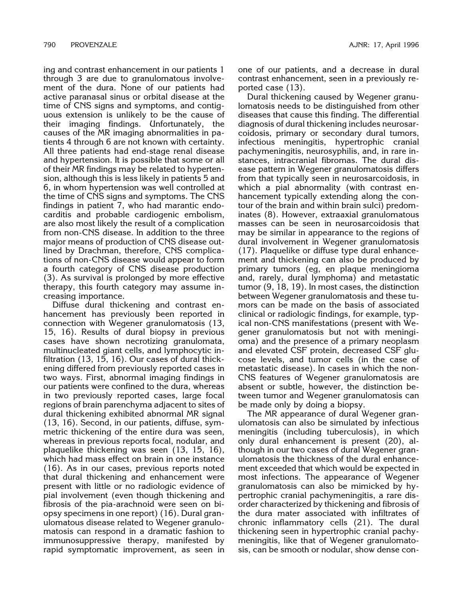ing and contrast enhancement in our patients 1 through 3 are due to granulomatous involvement of the dura. None of our patients had active paranasal sinus or orbital disease at the time of CNS signs and symptoms, and contiguous extension is unlikely to be the cause of their imaging findings. Unfortunately, the causes of the MR imaging abnormalities in patients 4 through 6 are not known with certainty. All three patients had end-stage renal disease and hypertension. It is possible that some or all of their MR findings may be related to hypertension, although this is less likely in patients 5 and 6, in whom hypertension was well controlled at the time of CNS signs and symptoms. The CNS findings in patient 7, who had marantic endocarditis and probable cardiogenic embolism, are also most likely the result of a complication from non-CNS disease. In addition to the three major means of production of CNS disease outlined by Drachman, therefore, CNS complications of non-CNS disease would appear to form a fourth category of CNS disease production (3). As survival is prolonged by more effective therapy, this fourth category may assume increasing importance.

Diffuse dural thickening and contrast enhancement has previously been reported in connection with Wegener granulomatosis (13, 15, 16). Results of dural biopsy in previous cases have shown necrotizing granulomata, multinucleated giant cells, and lymphocytic infiltration (13, 15, 16). Our cases of dural thickening differed from previously reported cases in two ways. First, abnormal imaging findings in our patients were confined to the dura, whereas in two previously reported cases, large focal regions of brain parenchyma adjacent to sites of dural thickening exhibited abnormal MR signal (13, 16). Second, in our patients, diffuse, symmetric thickening of the entire dura was seen, whereas in previous reports focal, nodular, and plaquelike thickening was seen (13, 15, 16), which had mass effect on brain in one instance (16). As in our cases, previous reports noted that dural thickening and enhancement were present with little or no radiologic evidence of pial involvement (even though thickening and fibrosis of the pia-arachnoid were seen on biopsy specimens in one report) (16). Dural granulomatous disease related to Wegener granulomatosis can respond in a dramatic fashion to immunosuppressive therapy, manifested by rapid symptomatic improvement, as seen in

one of our patients, and a decrease in dural contrast enhancement, seen in a previously reported case (13).

Dural thickening caused by Wegener granulomatosis needs to be distinguished from other diseases that cause this finding. The differential diagnosis of dural thickening includes neurosarcoidosis, primary or secondary dural tumors, infectious meningitis, hypertrophic cranial pachymeningitis, neurosyphilis, and, in rare instances, intracranial fibromas. The dural disease pattern in Wegener granulomatosis differs from that typically seen in neurosarcoidosis, in which a pial abnormality (with contrast enhancement typically extending along the contour of the brain and within brain sulci) predominates (8). However, extraaxial granulomatous masses can be seen in neurosarcoidosis that may be similar in appearance to the regions of dural involvement in Wegener granulomatosis (17). Plaquelike or diffuse type dural enhancement and thickening can also be produced by primary tumors (eg, en plaque meningioma and, rarely, dural lymphoma) and metastatic tumor (9, 18, 19). In most cases, the distinction between Wegener granulomatosis and these tumors can be made on the basis of associated clinical or radiologic findings, for example, typical non-CNS manifestations (present with Wegener granulomatosis but not with meningioma) and the presence of a primary neoplasm and elevated CSF protein, decreased CSF glucose levels, and tumor cells (in the case of metastatic disease). In cases in which the non-CNS features of Wegener granulomatosis are absent or subtle, however, the distinction between tumor and Wegener granulomatosis can be made only by doing a biopsy.

The MR appearance of dural Wegener granulomatosis can also be simulated by infectious meningitis (including tuberculosis), in which only dural enhancement is present (20), although in our two cases of dural Wegener granulomatosis the thickness of the dural enhancement exceeded that which would be expected in most infections. The appearance of Wegener granulomatosis can also be mimicked by hypertrophic cranial pachymeningitis, a rare disorder characterized by thickening and fibrosis of the dura mater associated with infiltrates of chronic inflammatory cells (21). The dural thickening seen in hypertrophic cranial pachymeningitis, like that of Wegener granulomatosis, can be smooth or nodular, show dense con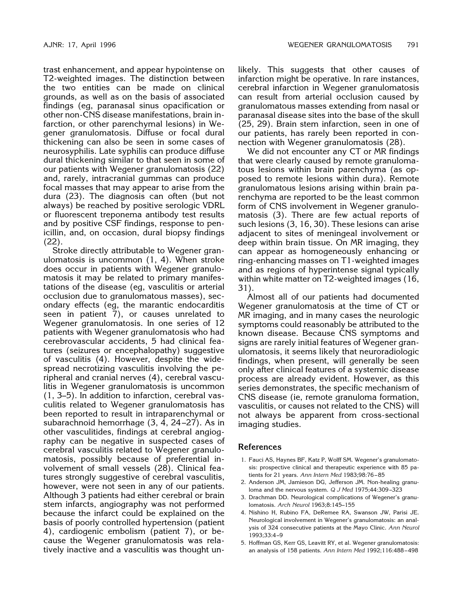trast enhancement, and appear hypointense on T2-weighted images. The distinction between the two entities can be made on clinical grounds, as well as on the basis of associated findings (eg, paranasal sinus opacification or other non-CNS disease manifestations, brain infarction, or other parenchymal lesions) in Wegener granulomatosis. Diffuse or focal dural thickening can also be seen in some cases of neurosyphilis. Late syphilis can produce diffuse dural thickening similar to that seen in some of our patients with Wegener granulomatosis (22) and, rarely, intracranial gummas can produce focal masses that may appear to arise from the dura (23). The diagnosis can often (but not always) be reached by positive serologic VDRL or fluorescent treponema antibody test results and by positive CSF findings, response to penicillin, and, on occasion, dural biopsy findings (22).

Stroke directly attributable to Wegener granulomatosis is uncommon (1, 4). When stroke does occur in patients with Wegener granulomatosis it may be related to primary manifestations of the disease (eg, vasculitis or arterial occlusion due to granulomatous masses), secondary effects (eg, the marantic endocarditis seen in patient 7), or causes unrelated to Wegener granulomatosis. In one series of 12 patients with Wegener granulomatosis who had cerebrovascular accidents, 5 had clinical features (seizures or encephalopathy) suggestive of vasculitis (4). However, despite the widespread necrotizing vasculitis involving the peripheral and cranial nerves (4), cerebral vasculitis in Wegener granulomatosis is uncommon (1, 3–5). In addition to infarction, cerebral vasculitis related to Wegener granulomatosis has been reported to result in intraparenchymal or subarachnoid hemorrhage (3, 4, 24 –27). As in other vasculitides, findings at cerebral angiography can be negative in suspected cases of cerebral vasculitis related to Wegener granulomatosis, possibly because of preferential involvement of small vessels (28). Clinical features strongly suggestive of cerebral vasculitis, however, were not seen in any of our patients. Although 3 patients had either cerebral or brain stem infarcts, angiography was not performed because the infarct could be explained on the basis of poorly controlled hypertension (patient 4), cardiogenic embolism (patient 7), or because the Wegener granulomatosis was relatively inactive and a vasculitis was thought unlikely. This suggests that other causes of infarction might be operative. In rare instances, cerebral infarction in Wegener granulomatosis can result from arterial occlusion caused by granulomatous masses extending from nasal or paranasal disease sites into the base of the skull (25, 29). Brain stem infarction, seen in one of our patients, has rarely been reported in connection with Wegener granulomatosis (28).

We did not encounter any CT or MR findings that were clearly caused by remote granulomatous lesions within brain parenchyma (as opposed to remote lesions within dura). Remote granulomatous lesions arising within brain parenchyma are reported to be the least common form of CNS involvement in Wegener granulomatosis (3). There are few actual reports of such lesions (3, 16, 30). These lesions can arise adjacent to sites of meningeal involvement or deep within brain tissue. On MR imaging, they can appear as homogeneously enhancing or ring-enhancing masses on T1-weighted images and as regions of hyperintense signal typically within white matter on T2-weighted images (16, 31).

Almost all of our patients had documented Wegener granulomatosis at the time of CT or MR imaging, and in many cases the neurologic symptoms could reasonably be attributed to the known disease. Because CNS symptoms and signs are rarely initial features of Wegener granulomatosis, it seems likely that neuroradiologic findings, when present, will generally be seen only after clinical features of a systemic disease process are already evident. However, as this series demonstrates, the specific mechanism of CNS disease (ie, remote granuloma formation, vasculitis, or causes not related to the CNS) will not always be apparent from cross-sectional imaging studies.

## **References**

- 1. Fauci AS, Haynes BF, Katz P, Wolff SM. Wegener's granulomatosis: prospective clinical and therapeutic experience with 85 patients for 21 years. *Ann Intern Med* 1983;98:76 – 85
- 2. Anderson JM, Jamieson DG, Jefferson JM. Non-healing granuloma and the nervous system. *Q J Med* 1975;44:309 –323
- 3. Drachman DD. Neurological complications of Wegener's granulomatosis. *Arch Neurol* 1963;8:145–155
- 4. Nishino H, Rubino FA, DeRemee RA, Swanson JW, Parisi JE. Neurological involvement in Wegener's granulomatosis: an analysis of 324 consecutive patients at the Mayo Clinic. *Ann Neurol* 1993;33:4 –9
- 5. Hoffman GS, Kerr GS, Leavitt RY, et al. Wegener granulomatosis: an analysis of 158 patients. *Ann Intern Med* 1992;116:488 – 498